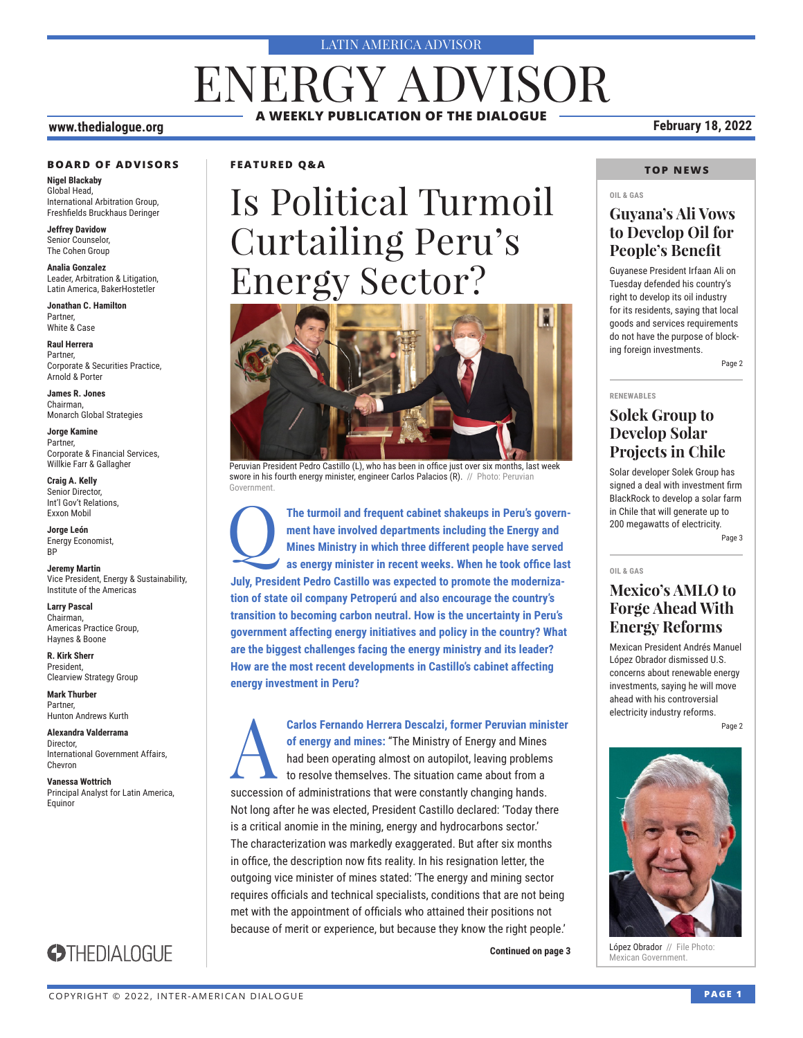#### LATIN AMERICA ADVISOR

# **A WEEKLY PUBLICATION OF THE DIALOGUE** ENERGY ADVISOR

#### **www.thedialogue.org February 18, 2022**

#### **BOARD OF ADVISORS**

**Nigel Blackaby** Global Head, International Arbitration Group, Freshfields Bruckhaus Deringer

**Jeffrey Davidow** Senior Counselor, The Cohen Group

**Analia Gonzalez** Leader, Arbitration & Litigation, Latin America, BakerHostetler

**Jonathan C. Hamilton** Partner, White & Case

**Raul Herrera** Partner, Corporate & Securities Practice, Arnold & Porter

**James R. Jones** Chairman, Monarch Global Strategies

**Jorge Kamine** Partner, Corporate & Financial Services, Willkie Farr & Gallagher

**Craig A. Kelly** Senior Director, Int'l Gov't Relations, Exxon Mobil

**Jorge León** Energy Economist, BP

**Jeremy Martin** Vice President, Energy & Sustainability, Institute of the Americas

**Larry Pascal** Chairman, Americas Practice Group, Haynes & Boone

**R. Kirk Sherr** President, Clearview Strategy Group

**Mark Thurber** Partner, Hunton Andrews Kurth

**Alexandra Valderrama** Director, International Government Affairs, Chevron

**Vanessa Wottrich** Principal Analyst for Latin America, Equinor

### **STHEDIALOGUE**

**FEATURED Q&A**

# Is Political Turmoil Curtailing Peru's Energy Sector?



Peruvian President Pedro Castillo (L), who has been in office just over six months, last week swore in his fourth energy minister, engineer Carlos Palacios (R). // Photo: Peruvian **Government** 

The turmoil and frequent cabinet shakeups in Peru's govern**ment have involved departments including the Energy and Mines Ministry in which three different people have served as energy minister in recent weeks. When he took office last July, President Pedro Castillo was expected to promote the modernization of state oil company Petroperú and also encourage the country's transition to becoming carbon neutral. How is the uncertainty in Peru's government affecting energy initiatives and policy in the country? What are the biggest challenges facing the energy ministry and its leader? How are the most recent developments in Castillo's cabinet affecting energy investment in Peru?**

Carlos Fernando Herrera Descalzi, former Peruvian minister<br>of energy and mines: "The Ministry of Energy and Mines<br>had been operating almost on autopilot, leaving problems<br>to resolve themselves. The situation came about fro **of energy and mines:** "The Ministry of Energy and Mines had been operating almost on autopilot, leaving problems to resolve themselves. The situation came about from a succession of administrations that were constantly changing hands. Not long after he was elected, President Castillo declared: 'Today there is a critical anomie in the mining, energy and hydrocarbons sector.' The characterization was markedly exaggerated. But after six months in office, the description now fits reality. In his resignation letter, the outgoing vice minister of mines stated: 'The energy and mining sector requires officials and technical specialists, conditions that are not being met with the appointment of officials who attained their positions not because of merit or experience, but because they know the right people.'

#### **TOP NEWS**

#### **OIL & GAS**

#### **Guyana's Ali Vows to Develop Oil for People's Benefit**

Guyanese President Irfaan Ali on Tuesday defended his country's right to develop its oil industry for its residents, saying that local goods and services requirements do not have the purpose of blocking foreign investments.

Page 2

#### **RENEWABLES**

### **Solek Group to Develop Solar Projects in Chile**

Solar developer Solek Group has signed a deal with investment firm BlackRock to develop a solar farm in Chile that will generate up to 200 megawatts of electricity.

Page 3

#### **OIL & GAS**

### **Mexico's AMLO to Forge Ahead With Energy Reforms**

Mexican President Andrés Manuel López Obrador dismissed U.S. concerns about renewable energy investments, saying he will move ahead with his controversial electricity industry reforms.

Page 2



López Obrador // File Photo: **Continued on page 3 Lopez Obrador** // File<br>Mexican Government.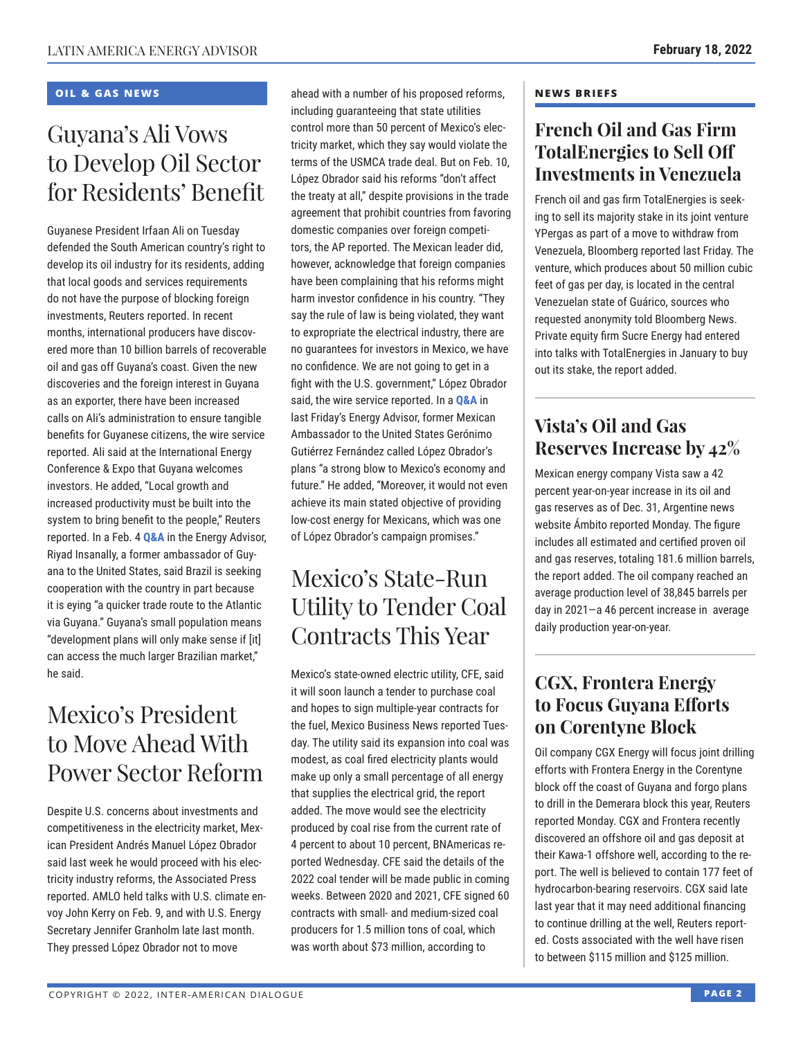#### **OIL & GAS NEWS**

# Guyana's Ali Vows to Develop Oil Sector for Residents' Benefit

Guyanese President Irfaan Ali on Tuesday defended the South American country's right to develop its oil industry for its residents, adding that local goods and services requirements do not have the purpose of blocking foreign investments, Reuters reported. In recent months, international producers have discovered more than 10 billion barrels of recoverable oil and gas off Guyana's coast. Given the new discoveries and the foreign interest in Guyana as an exporter, there have been increased calls on Ali's administration to ensure tangible benefits for Guyanese citizens, the wire service reported. Ali said at the International Energy Conference & Expo that Guyana welcomes investors. He added, "Local growth and increased productivity must be built into the system to bring benefit to the people," Reuters reported. In a Feb. 4 **[Q&A](https://www.thedialogue.org/wp-content/uploads/2022/02/LEA220204.pdf)** in the Energy Advisor, Riyad Insanally, a former ambassador of Guyana to the United States, said Brazil is seeking cooperation with the country in part because it is eying "a quicker trade route to the Atlantic via Guyana." Guyana's small population means "development plans will only make sense if [it] can access the much larger Brazilian market," he said.

# Mexico's President to Move Ahead With Power Sector Reform

Despite U.S. concerns about investments and competitiveness in the electricity market, Mexican President Andrés Manuel López Obrador said last week he would proceed with his electricity industry reforms, the Associated Press reported. AMLO held talks with U.S. climate envoy John Kerry on Feb. 9, and with U.S. Energy Secretary Jennifer Granholm late last month. They pressed López Obrador not to move

ahead with a number of his proposed reforms, including guaranteeing that state utilities control more than 50 percent of Mexico's electricity market, which they say would violate the terms of the USMCA trade deal. But on Feb. 10, López Obrador said his reforms "don't affect the treaty at all," despite provisions in the trade agreement that prohibit countries from favoring domestic companies over foreign competitors, the AP reported. The Mexican leader did, however, acknowledge that foreign companies have been complaining that his reforms might harm investor confidence in his country. "They say the rule of law is being violated, they want to expropriate the electrical industry, there are no guarantees for investors in Mexico, we have no confidence. We are not going to get in a fight with the U.S. government," López Obrador said, the wire service reported. In a **[Q&A](https://www.thedialogue.org/wp-content/uploads/2022/02/LEA220211.pdf)** in last Friday's Energy Advisor, former Mexican Ambassador to the United States Gerónimo Gutiérrez Fernández called López Obrador's plans "a strong blow to Mexico's economy and future." He added, "Moreover, it would not even achieve its main stated objective of providing low-cost energy for Mexicans, which was one of López Obrador's campaign promises."

# Mexico's State-Run Utility to Tender Coal Contracts This Year

Mexico's state-owned electric utility, CFE, said it will soon launch a tender to purchase coal and hopes to sign multiple-year contracts for the fuel, Mexico Business News reported Tuesday. The utility said its expansion into coal was modest, as coal fired electricity plants would make up only a small percentage of all energy that supplies the electrical grid, the report added. The move would see the electricity produced by coal rise from the current rate of 4 percent to about 10 percent, BNAmericas reported Wednesday. CFE said the details of the 2022 coal tender will be made public in coming weeks. Between 2020 and 2021, CFE signed 60 contracts with small- and medium-sized coal producers for 1.5 million tons of coal, which was worth about \$73 million, according to

#### **NEWS BRIEFS**

### **French Oil and Gas Firm TotalEnergies to Sell Off Investments in Venezuela**

French oil and gas firm TotalEnergies is seeking to sell its majority stake in its joint venture YPergas as part of a move to withdraw from Venezuela, Bloomberg reported last Friday. The venture, which produces about 50 million cubic feet of gas per day, is located in the central Venezuelan state of Guárico, sources who requested anonymity told Bloomberg News. Private equity firm Sucre Energy had entered into talks with TotalEnergies in January to buy out its stake, the report added.

### **Vista's Oil and Gas Reserves Increase by 42%**

Mexican energy company Vista saw a 42 percent year-on-year increase in its oil and gas reserves as of Dec. 31, Argentine news website Ámbito reported Monday. The figure includes all estimated and certified proven oil and gas reserves, totaling 181.6 million barrels, the report added. The oil company reached an average production level of 38,845 barrels per day in 2021—a 46 percent increase in average daily production year-on-year.

### **CGX, Frontera Energy to Focus Guyana Efforts on Corentyne Block**

Oil company CGX Energy will focus joint drilling efforts with Frontera Energy in the Corentyne block off the coast of Guyana and forgo plans to drill in the Demerara block this year, Reuters reported Monday. CGX and Frontera recently discovered an offshore oil and gas deposit at their Kawa-1 offshore well, according to the report. The well is believed to contain 177 feet of hydrocarbon-bearing reservoirs. CGX said late last year that it may need additional financing to continue drilling at the well, Reuters reported. Costs associated with the well have risen to between \$115 million and \$125 million.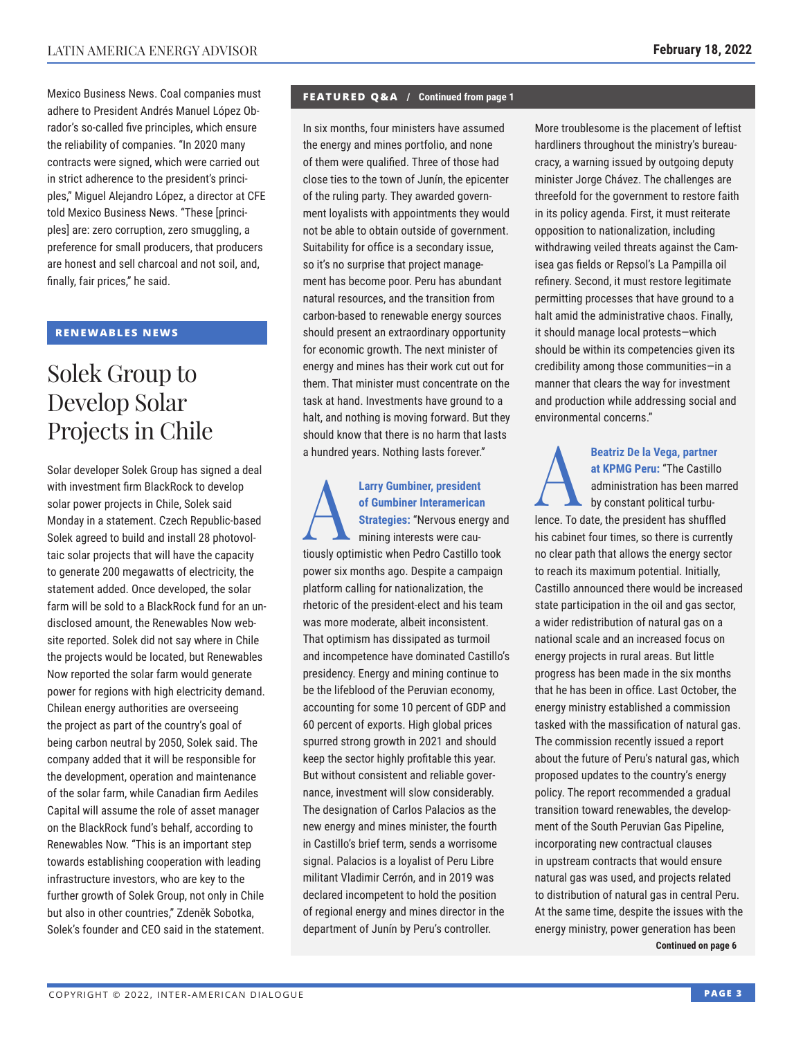Mexico Business News. Coal companies must adhere to President Andrés Manuel López Obrador's so-called five principles, which ensure the reliability of companies. "In 2020 many contracts were signed, which were carried out in strict adherence to the president's principles," Miguel Alejandro López, a director at CFE told Mexico Business News. "These [principles] are: zero corruption, zero smuggling, a preference for small producers, that producers are honest and sell charcoal and not soil, and, finally, fair prices," he said.

#### **RENEWABLES NEWS**

# Solek Group to Develop Solar Projects in Chile

Solar developer Solek Group has signed a deal with investment firm BlackRock to develop solar power projects in Chile, Solek said Monday in a statement. Czech Republic-based Solek agreed to build and install 28 photovoltaic solar projects that will have the capacity to generate 200 megawatts of electricity, the statement added. Once developed, the solar farm will be sold to a BlackRock fund for an undisclosed amount, the Renewables Now website reported. Solek did not say where in Chile the projects would be located, but Renewables Now reported the solar farm would generate power for regions with high electricity demand. Chilean energy authorities are overseeing the project as part of the country's goal of being carbon neutral by 2050, Solek said. The company added that it will be responsible for the development, operation and maintenance of the solar farm, while Canadian firm Aediles Capital will assume the role of asset manager on the BlackRock fund's behalf, according to Renewables Now. "This is an important step towards establishing cooperation with leading infrastructure investors, who are key to the further growth of Solek Group, not only in Chile but also in other countries," Zdeněk Sobotka, Solek's founder and CEO said in the statement.

#### **FEATURED Q&A / Continued from page 1**

In six months, four ministers have assumed the energy and mines portfolio, and none of them were qualified. Three of those had close ties to the town of Junín, the epicenter of the ruling party. They awarded government loyalists with appointments they would not be able to obtain outside of government. Suitability for office is a secondary issue, so it's no surprise that project management has become poor. Peru has abundant natural resources, and the transition from carbon-based to renewable energy sources should present an extraordinary opportunity for economic growth. The next minister of energy and mines has their work cut out for them. That minister must concentrate on the task at hand. Investments have ground to a halt, and nothing is moving forward. But they should know that there is no harm that lasts a hundred years. Nothing lasts forever."

**Larry Gumbiner, president**<br>of Gumbiner Interamerican<br>Strategies: "Nervous energ<br>mining interests were cau**of Gumbiner Interamerican Strategies:** "Nervous energy and mining interests were cautiously optimistic when Pedro Castillo took power six months ago. Despite a campaign platform calling for nationalization, the rhetoric of the president-elect and his team was more moderate, albeit inconsistent. That optimism has dissipated as turmoil and incompetence have dominated Castillo's presidency. Energy and mining continue to be the lifeblood of the Peruvian economy, accounting for some 10 percent of GDP and 60 percent of exports. High global prices spurred strong growth in 2021 and should keep the sector highly profitable this year. But without consistent and reliable governance, investment will slow considerably. The designation of Carlos Palacios as the new energy and mines minister, the fourth in Castillo's brief term, sends a worrisome signal. Palacios is a loyalist of Peru Libre militant Vladimir Cerrón, and in 2019 was declared incompetent to hold the position of regional energy and mines director in the department of Junín by Peru's controller.

More troublesome is the placement of leftist hardliners throughout the ministry's bureaucracy, a warning issued by outgoing deputy minister Jorge Chávez. The challenges are threefold for the government to restore faith in its policy agenda. First, it must reiterate opposition to nationalization, including withdrawing veiled threats against the Camisea gas fields or Repsol's La Pampilla oil refinery. Second, it must restore legitimate permitting processes that have ground to a halt amid the administrative chaos. Finally, it should manage local protests—which should be within its competencies given its credibility among those communities—in a manner that clears the way for investment and production while addressing social and environmental concerns."

Beatriz De la Vega, partner<br>at KPMG Peru: "The Castillo<br>administration has been ma<br>by constant political turbu**at KPMG Peru:** "The Castillo administration has been marred

by constant political turbulence. To date, the president has shuffled his cabinet four times, so there is currently no clear path that allows the energy sector to reach its maximum potential. Initially, Castillo announced there would be increased state participation in the oil and gas sector, a wider redistribution of natural gas on a national scale and an increased focus on energy projects in rural areas. But little progress has been made in the six months that he has been in office. Last October, the energy ministry established a commission tasked with the massification of natural gas. The commission recently issued a report about the future of Peru's natural gas, which proposed updates to the country's energy policy. The report recommended a gradual transition toward renewables, the development of the South Peruvian Gas Pipeline, incorporating new contractual clauses in upstream contracts that would ensure natural gas was used, and projects related to distribution of natural gas in central Peru. At the same time, despite the issues with the energy ministry, power generation has been **Continued on page 6**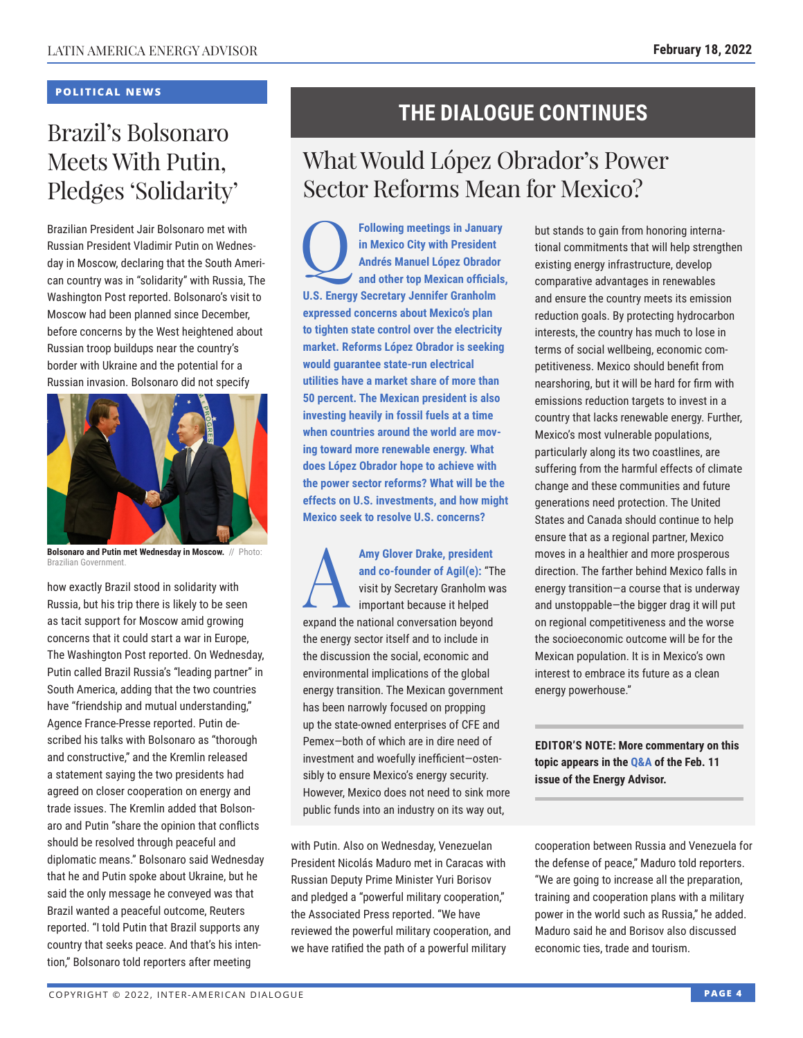#### **POLITICAL NEWS**

# Brazil's Bolsonaro Meets With Putin, Pledges 'Solidarity'

Brazilian President Jair Bolsonaro met with Russian President Vladimir Putin on Wednesday in Moscow, declaring that the South American country was in "solidarity" with Russia, The Washington Post reported. Bolsonaro's visit to Moscow had been planned since December, before concerns by the West heightened about Russian troop buildups near the country's border with Ukraine and the potential for a Russian invasion. Bolsonaro did not specify



**Bolsonaro and Putin met Wednesday in Moscow.** // Photo: Brazilian Government.

how exactly Brazil stood in solidarity with Russia, but his trip there is likely to be seen as tacit support for Moscow amid growing concerns that it could start a war in Europe, The Washington Post reported. On Wednesday, Putin called Brazil Russia's "leading partner" in South America, adding that the two countries have "friendship and mutual understanding," Agence France-Presse reported. Putin described his talks with Bolsonaro as "thorough and constructive," and the Kremlin released a statement saying the two presidents had agreed on closer cooperation on energy and trade issues. The Kremlin added that Bolsonaro and Putin "share the opinion that conflicts should be resolved through peaceful and diplomatic means." Bolsonaro said Wednesday that he and Putin spoke about Ukraine, but he said the only message he conveyed was that Brazil wanted a peaceful outcome, Reuters reported. "I told Putin that Brazil supports any country that seeks peace. And that's his intention," Bolsonaro told reporters after meeting

### **THE DIALOGUE CONTINUES**

# What Would López Obrador's Power Sector Reforms Mean for Mexico?

**Following meetings in January<br>
in Mexico City with President<br>
Andrés Manuel López Obrador<br>
and other top Mexican officials in Mexico City with President Andrés Manuel López Obrador and other top Mexican officials, U.S. Energy Secretary Jennifer Granholm expressed concerns about Mexico's plan to tighten state control over the electricity market. Reforms López Obrador is seeking would guarantee state-run electrical utilities have a market share of more than 50 percent. The Mexican president is also investing heavily in fossil fuels at a time when countries around the world are moving toward more renewable energy. What does López Obrador hope to achieve with the power sector reforms? What will be the effects on U.S. investments, and how might Mexico seek to resolve U.S. concerns?**

Amy Glover Drake, president<br>
and co-founder of Agil(e): "T<br>
visit by Secretary Granholm w<br>
important because it helped<br>
averaged the patienal convergation bound **and co-founder of Agil(e):** "The visit by Secretary Granholm was important because it helped expand the national conversation beyond the energy sector itself and to include in the discussion the social, economic and environmental implications of the global energy transition. The Mexican government has been narrowly focused on propping up the state-owned enterprises of CFE and Pemex—both of which are in dire need of investment and woefully inefficient—ostensibly to ensure Mexico's energy security. However, Mexico does not need to sink more public funds into an industry on its way out,

with Putin. Also on Wednesday, Venezuelan President Nicolás Maduro met in Caracas with Russian Deputy Prime Minister Yuri Borisov and pledged a "powerful military cooperation," the Associated Press reported. "We have reviewed the powerful military cooperation, and we have ratified the path of a powerful military

but stands to gain from honoring international commitments that will help strengthen existing energy infrastructure, develop comparative advantages in renewables and ensure the country meets its emission reduction goals. By protecting hydrocarbon interests, the country has much to lose in terms of social wellbeing, economic competitiveness. Mexico should benefit from nearshoring, but it will be hard for firm with emissions reduction targets to invest in a country that lacks renewable energy. Further, Mexico's most vulnerable populations, particularly along its two coastlines, are suffering from the harmful effects of climate change and these communities and future generations need protection. The United States and Canada should continue to help ensure that as a regional partner, Mexico moves in a healthier and more prosperous direction. The farther behind Mexico falls in energy transition—a course that is underway and unstoppable—the bigger drag it will put on regional competitiveness and the worse the socioeconomic outcome will be for the Mexican population. It is in Mexico's own interest to embrace its future as a clean energy powerhouse."

**EDITOR'S NOTE: More commentary on this topic appears in t[he Q&A o](https://www.thedialogue.org/wp-content/uploads/2022/02/LEA220211.pdf)f the Feb. 11 issue of the Energy Advisor.**

cooperation between Russia and Venezuela for the defense of peace," Maduro told reporters. "We are going to increase all the preparation, training and cooperation plans with a military power in the world such as Russia," he added. Maduro said he and Borisov also discussed economic ties, trade and tourism.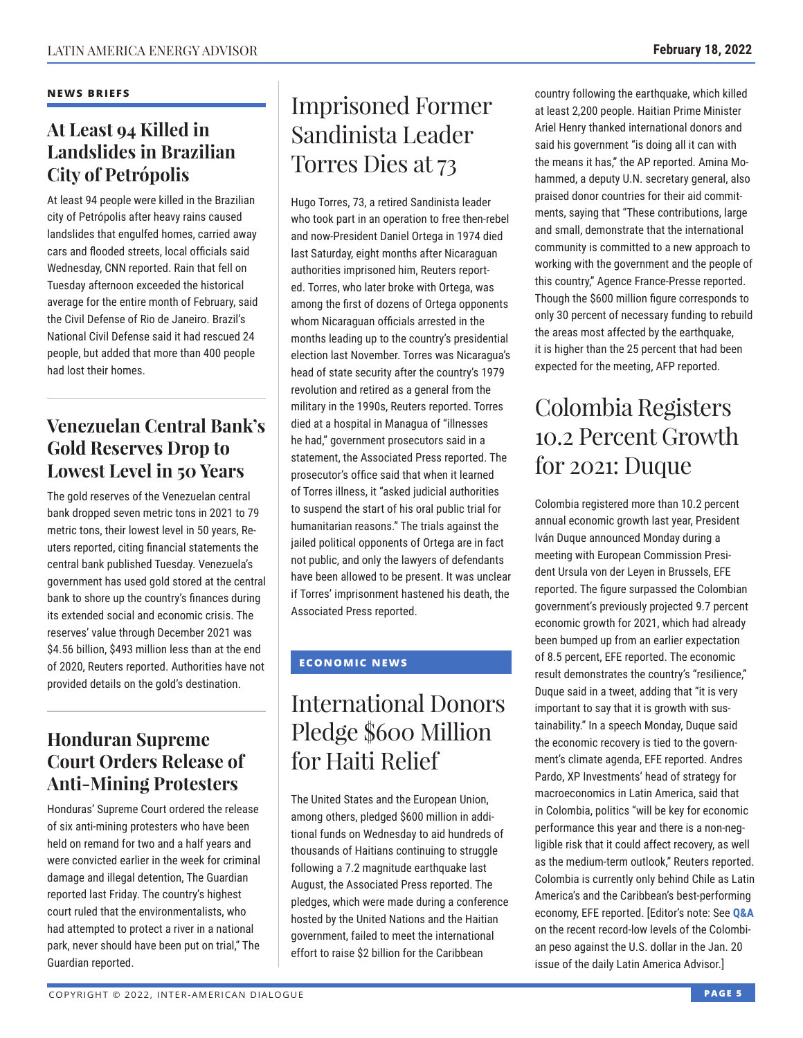#### **NEWS BRIEFS**

### **At Least 94 Killed in Landslides in Brazilian City of Petrópolis**

At least 94 people were killed in the Brazilian city of Petrópolis after heavy rains caused landslides that engulfed homes, carried away cars and flooded streets, local officials said Wednesday, CNN reported. Rain that fell on Tuesday afternoon exceeded the historical average for the entire month of February, said the Civil Defense of Rio de Janeiro. Brazil's National Civil Defense said it had rescued 24 people, but added that more than 400 people had lost their homes.

### **Venezuelan Central Bank's Gold Reserves Drop to Lowest Level in 50 Years**

The gold reserves of the Venezuelan central bank dropped seven metric tons in 2021 to 79 metric tons, their lowest level in 50 years, Reuters reported, citing financial statements the central bank published Tuesday. Venezuela's government has used gold stored at the central bank to shore up the country's finances during its extended social and economic crisis. The reserves' value through December 2021 was \$4.56 billion, \$493 million less than at the end of 2020, Reuters reported. Authorities have not provided details on the gold's destination.

### **Honduran Supreme Court Orders Release of Anti-Mining Protesters**

Honduras' Supreme Court ordered the release of six anti-mining protesters who have been held on remand for two and a half years and were convicted earlier in the week for criminal damage and illegal detention, The Guardian reported last Friday. The country's highest court ruled that the environmentalists, who had attempted to protect a river in a national park, never should have been put on trial," The Guardian reported.

# Imprisoned Former Sandinista Leader Torres Dies at 73

Hugo Torres, 73, a retired Sandinista leader who took part in an operation to free then-rebel and now-President Daniel Ortega in 1974 died last Saturday, eight months after Nicaraguan authorities imprisoned him, Reuters reported. Torres, who later broke with Ortega, was among the first of dozens of Ortega opponents whom Nicaraguan officials arrested in the months leading up to the country's presidential election last November. Torres was Nicaragua's head of state security after the country's 1979 revolution and retired as a general from the military in the 1990s, Reuters reported. Torres died at a hospital in Managua of "illnesses he had," government prosecutors said in a statement, the Associated Press reported. The prosecutor's office said that when it learned of Torres illness, it "asked judicial authorities to suspend the start of his oral public trial for humanitarian reasons." The trials against the jailed political opponents of Ortega are in fact not public, and only the lawyers of defendants have been allowed to be present. It was unclear if Torres' imprisonment hastened his death, the Associated Press reported.

### **ECONOMIC NEWS**

# International Donors Pledge \$600 Million for Haiti Relief

The United States and the European Union, among others, pledged \$600 million in additional funds on Wednesday to aid hundreds of thousands of Haitians continuing to struggle following a 7.2 magnitude earthquake last August, the Associated Press reported. The pledges, which were made during a conference hosted by the United Nations and the Haitian government, failed to meet the international effort to raise \$2 billion for the Caribbean

country following the earthquake, which killed at least 2,200 people. Haitian Prime Minister Ariel Henry thanked international donors and said his government "is doing all it can with the means it has," the AP reported. Amina Mohammed, a deputy U.N. secretary general, also praised donor countries for their aid commitments, saying that "These contributions, large and small, demonstrate that the international community is committed to a new approach to working with the government and the people of this country," Agence France-Presse reported. Though the \$600 million figure corresponds to only 30 percent of necessary funding to rebuild the areas most affected by the earthquake, it is higher than the 25 percent that had been expected for the meeting, AFP reported.

# Colombia Registers 10.2 Percent Growth for 2021: Duque

Colombia registered more than 10.2 percent annual economic growth last year, President Iván Duque announced Monday during a meeting with European Commission President Ursula von der Leyen in Brussels, EFE reported. The figure surpassed the Colombian government's previously projected 9.7 percent economic growth for 2021, which had already been bumped up from an earlier expectation of 8.5 percent, EFE reported. The economic result demonstrates the country's "resilience," Duque said in a tweet, adding that "it is very important to say that it is growth with sustainability." In a speech Monday, Duque said the economic recovery is tied to the government's climate agenda, EFE reported. Andres Pardo, XP Investments' head of strategy for macroeconomics in Latin America, said that in Colombia, politics "will be key for economic performance this year and there is a non-negligible risk that it could affect recovery, as well as the medium-term outlook," Reuters reported. Colombia is currently only behind Chile as Latin America's and the Caribbean's best-performing economy, EFE reported. [Editor's note: See **[Q&A](https://www.thedialogue.org/wp-content/uploads/2022/01/LAA220120.pdf)** on the recent record-low levels of the Colombian peso against the U.S. dollar in the Jan. 20 issue of the daily Latin America Advisor.]